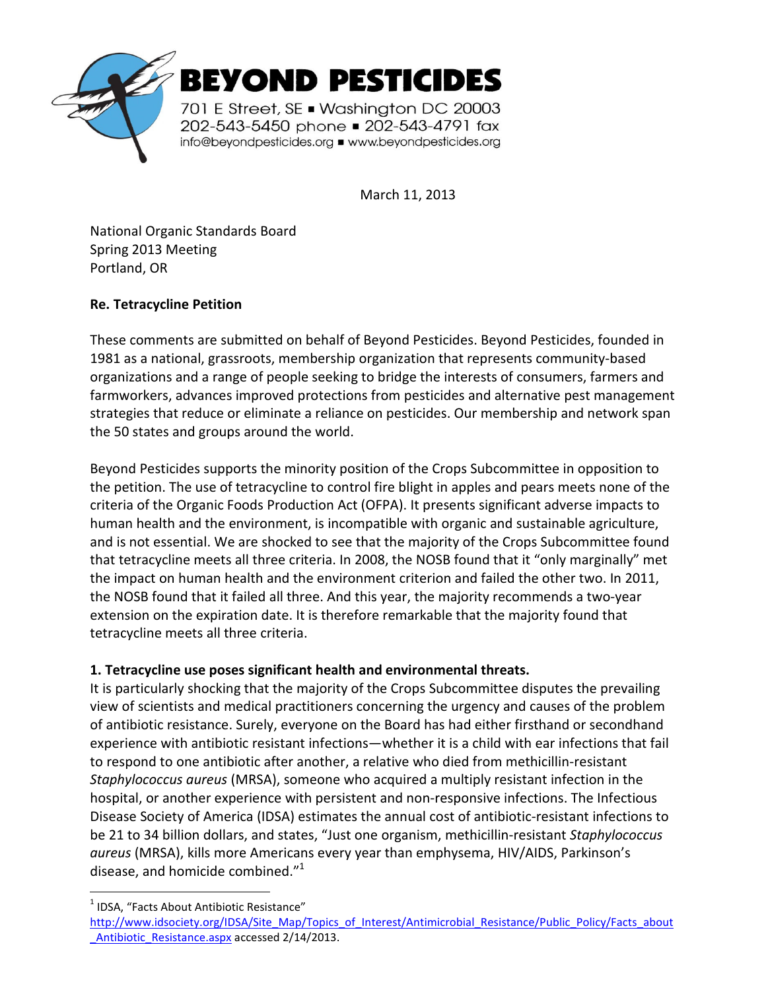

March 11, 2013

National Organic Standards Board Spring 2013 Meeting Portland, OR

## **Re. Tetracycline Petition**

These comments are submitted on behalf of Beyond Pesticides. Beyond Pesticides, founded in 1981 as a national, grassroots, membership organization that represents community-based organizations and a range of people seeking to bridge the interests of consumers, farmers and farmworkers, advances improved protections from pesticides and alternative pest management strategies that reduce or eliminate a reliance on pesticides. Our membership and network span the 50 states and groups around the world.

Beyond Pesticides supports the minority position of the Crops Subcommittee in opposition to the petition. The use of tetracycline to control fire blight in apples and pears meets none of the criteria of the Organic Foods Production Act (OFPA). It presents significant adverse impacts to human health and the environment, is incompatible with organic and sustainable agriculture, and is not essential. We are shocked to see that the majority of the Crops Subcommittee found that tetracycline meets all three criteria. In 2008, the NOSB found that it "only marginally" met the impact on human health and the environment criterion and failed the other two. In 2011, the NOSB found that it failed all three. And this year, the majority recommends a two-year extension on the expiration date. It is therefore remarkable that the majority found that tetracycline meets all three criteria.

# **1. Tetracycline use poses significant health and environmental threats.**

It is particularly shocking that the majority of the Crops Subcommittee disputes the prevailing view of scientists and medical practitioners concerning the urgency and causes of the problem of antibiotic resistance. Surely, everyone on the Board has had either firsthand or secondhand experience with antibiotic resistant infections—whether it is a child with ear infections that fail to respond to one antibiotic after another, a relative who died from methicillin-resistant *Staphylococcus aureus* (MRSA), someone who acquired a multiply resistant infection in the hospital, or another experience with persistent and non-responsive infections. The Infectious Disease Society of America (IDSA) estimates the annual cost of antibiotic-resistant infections to be 21 to 34 billion dollars, and states, "Just one organism, methicillin-resistant *Staphylococcus aureus* (MRSA), kills more Americans every year than emphysema, HIV/AIDS, Parkinson's disease, and homicide combined."<sup>1</sup>

 $\overline{a}$ 

<sup>&</sup>lt;sup>1</sup> IDSA, "Facts About Antibiotic Resistance"

http://www.idsociety.org/IDSA/Site\_Map/Topics\_of\_Interest/Antimicrobial\_Resistance/Public\_Policy/Facts\_about \_Antibiotic\_Resistance.aspx accessed 2/14/2013.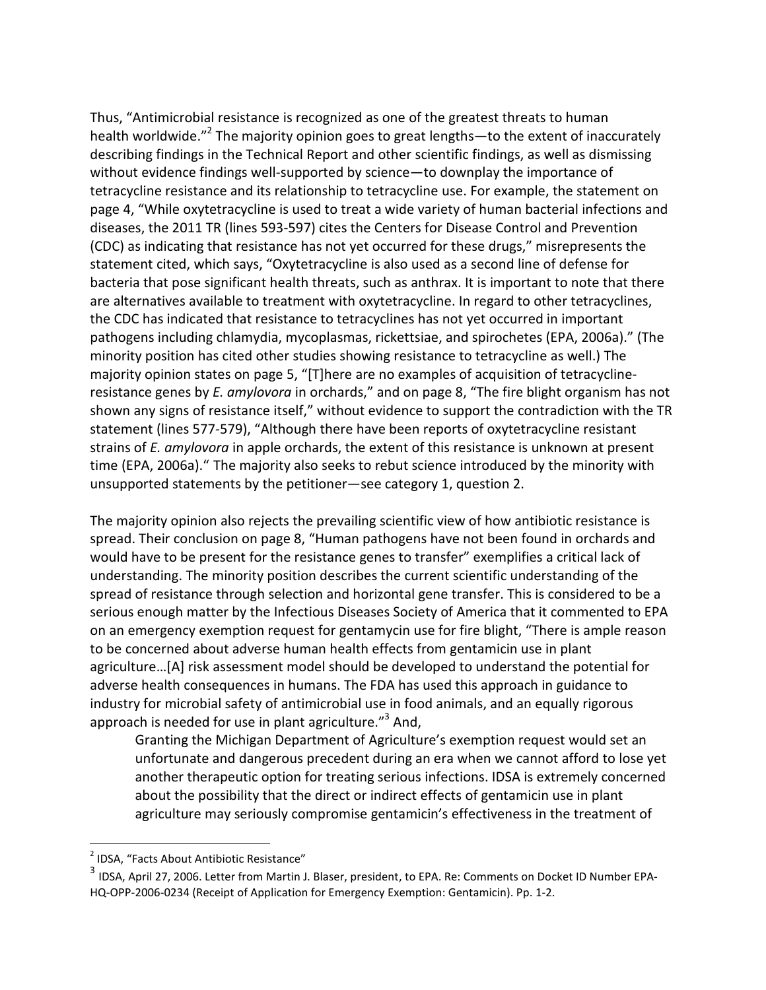Thus, "Antimicrobial resistance is recognized as one of the greatest threats to human health worldwide."<sup>2</sup> The majority opinion goes to great lengths—to the extent of inaccurately describing findings in the Technical Report and other scientific findings, as well as dismissing without evidence findings well-supported by science—to downplay the importance of tetracycline resistance and its relationship to tetracycline use. For example, the statement on page 4, "While oxytetracycline is used to treat a wide variety of human bacterial infections and diseases, the 2011 TR (lines 593-597) cites the Centers for Disease Control and Prevention (CDC) as indicating that resistance has not yet occurred for these drugs," misrepresents the statement cited, which says, "Oxytetracycline is also used as a second line of defense for bacteria that pose significant health threats, such as anthrax. It is important to note that there are alternatives available to treatment with oxytetracycline. In regard to other tetracyclines, the CDC has indicated that resistance to tetracyclines has not yet occurred in important pathogens including chlamydia, mycoplasmas, rickettsiae, and spirochetes (EPA, 2006a)." (The minority position has cited other studies showing resistance to tetracycline as well.) The majority opinion states on page 5, "[T]here are no examples of acquisition of tetracyclineresistance genes by *E. amylovora* in orchards," and on page 8, "The fire blight organism has not shown any signs of resistance itself," without evidence to support the contradiction with the TR statement (lines 577-579), "Although there have been reports of oxytetracycline resistant strains of *E. amylovora* in apple orchards, the extent of this resistance is unknown at present time (EPA, 2006a)." The majority also seeks to rebut science introduced by the minority with unsupported statements by the petitioner—see category 1, question 2.

The majority opinion also rejects the prevailing scientific view of how antibiotic resistance is spread. Their conclusion on page 8, "Human pathogens have not been found in orchards and would have to be present for the resistance genes to transfer" exemplifies a critical lack of understanding. The minority position describes the current scientific understanding of the spread of resistance through selection and horizontal gene transfer. This is considered to be a serious enough matter by the Infectious Diseases Society of America that it commented to EPA on an emergency exemption request for gentamycin use for fire blight, "There is ample reason to be concerned about adverse human health effects from gentamicin use in plant agriculture…[A] risk assessment model should be developed to understand the potential for adverse health consequences in humans. The FDA has used this approach in guidance to industry for microbial safety of antimicrobial use in food animals, and an equally rigorous approach is needed for use in plant agriculture."<sup>3</sup> And,

Granting the Michigan Department of Agriculture's exemption request would set an unfortunate and dangerous precedent during an era when we cannot afford to lose yet another therapeutic option for treating serious infections. IDSA is extremely concerned about the possibility that the direct or indirect effects of gentamicin use in plant agriculture may seriously compromise gentamicin's effectiveness in the treatment of

.

<sup>&</sup>lt;sup>2</sup> IDSA, "Facts About Antibiotic Resistance"

<sup>&</sup>lt;sup>3</sup> IDSA, April 27, 2006. Letter from Martin J. Blaser, president, to EPA. Re: Comments on Docket ID Number EPA-HQ-OPP-2006-0234 (Receipt of Application for Emergency Exemption: Gentamicin). Pp. 1-2.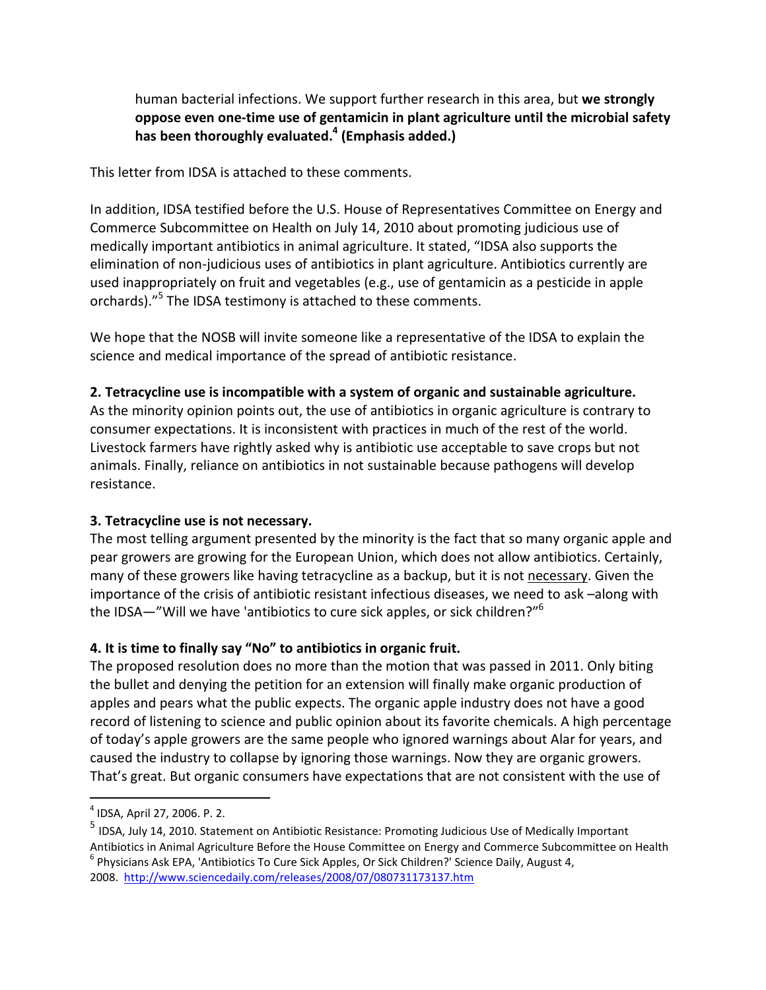human bacterial infections. We support further research in this area, but **we strongly oppose even one-time use of gentamicin in plant agriculture until the microbial safety has been thoroughly evaluated.<sup>4</sup> (Emphasis added.)** 

This letter from IDSA is attached to these comments.

In addition, IDSA testified before the U.S. House of Representatives Committee on Energy and Commerce Subcommittee on Health on July 14, 2010 about promoting judicious use of medically important antibiotics in animal agriculture. It stated, "IDSA also supports the elimination of non-judicious uses of antibiotics in plant agriculture. Antibiotics currently are used inappropriately on fruit and vegetables (e.g., use of gentamicin as a pesticide in apple orchards)."<sup>5</sup> The IDSA testimony is attached to these comments.

We hope that the NOSB will invite someone like a representative of the IDSA to explain the science and medical importance of the spread of antibiotic resistance.

## **2. Tetracycline use is incompatible with a system of organic and sustainable agriculture.**

As the minority opinion points out, the use of antibiotics in organic agriculture is contrary to consumer expectations. It is inconsistent with practices in much of the rest of the world. Livestock farmers have rightly asked why is antibiotic use acceptable to save crops but not animals. Finally, reliance on antibiotics in not sustainable because pathogens will develop resistance.

## **3. Tetracycline use is not necessary.**

The most telling argument presented by the minority is the fact that so many organic apple and pear growers are growing for the European Union, which does not allow antibiotics. Certainly, many of these growers like having tetracycline as a backup, but it is not necessary. Given the importance of the crisis of antibiotic resistant infectious diseases, we need to ask –along with the IDSA—"Will we have 'antibiotics to cure sick apples, or sick children?"<sup>6</sup>

# **4. It is time to finally say "No" to antibiotics in organic fruit.**

The proposed resolution does no more than the motion that was passed in 2011. Only biting the bullet and denying the petition for an extension will finally make organic production of apples and pears what the public expects. The organic apple industry does not have a good record of listening to science and public opinion about its favorite chemicals. A high percentage of today's apple growers are the same people who ignored warnings about Alar for years, and caused the industry to collapse by ignoring those warnings. Now they are organic growers. That's great. But organic consumers have expectations that are not consistent with the use of

j

<sup>4</sup> IDSA, April 27, 2006. P. 2.

<sup>5</sup> IDSA, July 14, 2010. Statement on Antibiotic Resistance: Promoting Judicious Use of Medically Important Antibiotics in Animal Agriculture Before the House Committee on Energy and Commerce Subcommittee on Health <sup>6</sup> Physicians Ask EPA, 'Antibiotics To Cure Sick Apples, Or Sick Children?' Science Daily, August 4, 2008. http://www.sciencedaily.com/releases/2008/07/080731173137.htm